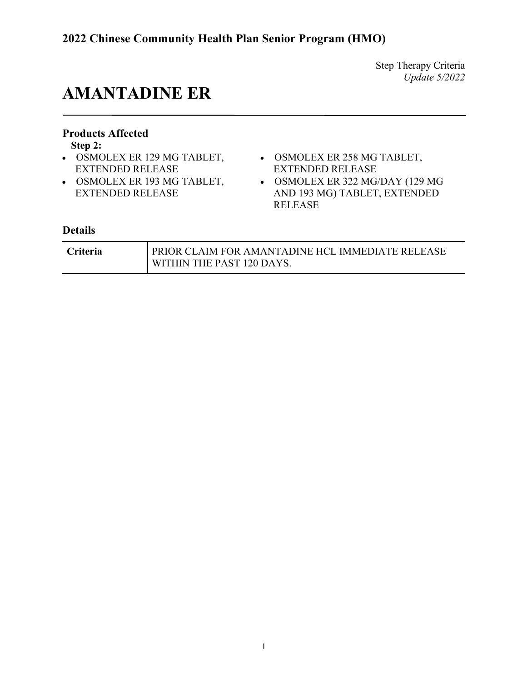## **AMANTADINE ER**

### **Products Affected**

**Step 2:**

- OSMOLEX ER 129 MG TABLET, EXTENDED RELEASE
- OSMOLEX ER 193 MG TABLET, EXTENDED RELEASE
- OSMOLEX ER 258 MG TABLET, EXTENDED RELEASE
- OSMOLEX ER 322 MG/DAY (129 MG AND 193 MG) TABLET, EXTENDED RELEASE

| <b>Criteria</b> | PRIOR CLAIM FOR AMANTADINE HCL IMMEDIATE RELEASE |
|-----------------|--------------------------------------------------|
|                 | WITHIN THE PAST 120 DAYS.                        |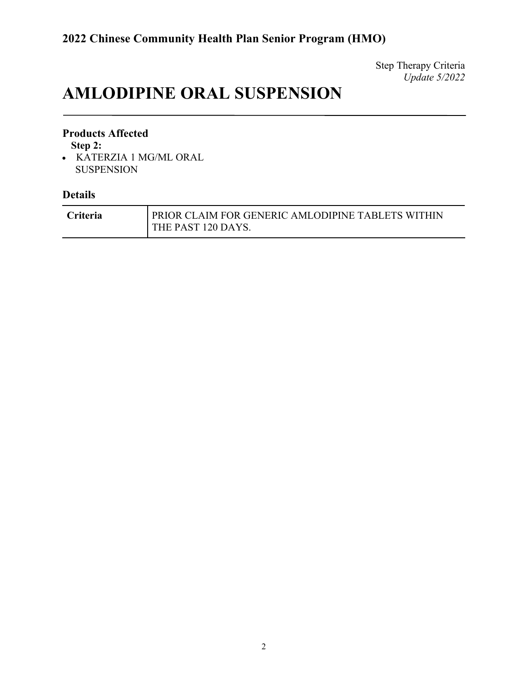## **AMLODIPINE ORAL SUSPENSION**

### **Products Affected**

**Step 2:**

• KATERZIA 1 MG/ML ORAL SUSPENSION

| <b>Criteria</b> | PRIOR CLAIM FOR GENERIC AMLODIPINE TABLETS WITHIN |
|-----------------|---------------------------------------------------|
|                 | <b>THE PAST 120 DAYS.</b>                         |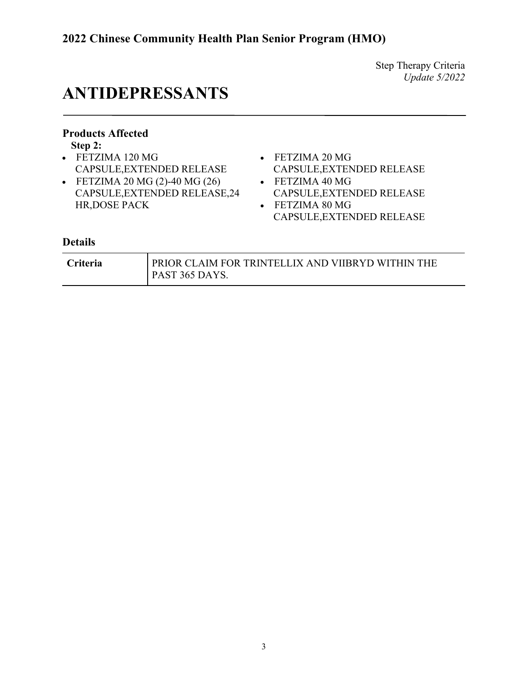## **ANTIDEPRESSANTS**

### **Products Affected**

**Step 2:**

- FETZIMA 120 MG CAPSULE,EXTENDED RELEASE
- FETZIMA 20 MG (2)-40 MG (26) CAPSULE,EXTENDED RELEASE,24 HR,DOSE PACK
- FETZIMA 20 MG CAPSULE,EXTENDED RELEASE • FETZIMA 40 MG
- CAPSULE,EXTENDED RELEASE
- FETZIMA 80 MG CAPSULE,EXTENDED RELEASE

| <b>Criteria</b> | PRIOR CLAIM FOR TRINTELLIX AND VIIBRYD WITHIN THE |
|-----------------|---------------------------------------------------|
|                 | PAST 365 DAYS.                                    |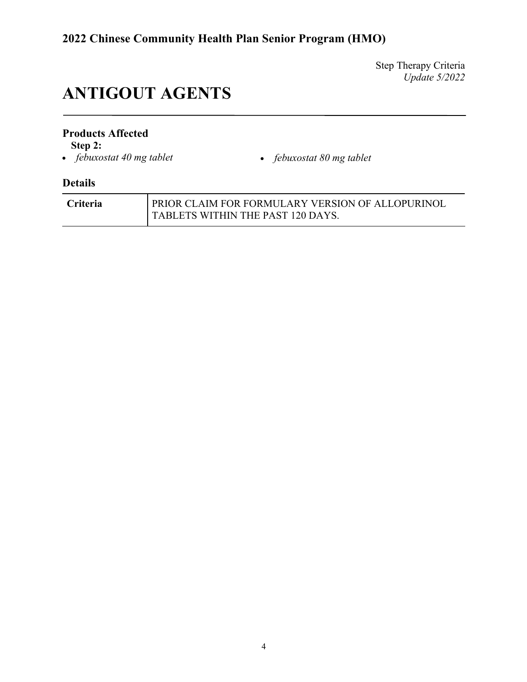# **ANTIGOUT AGENTS**

### **Products Affected**

**Step 2:**<br>• *febuxostat 40 mg tablet* 

• *febuxostat 40 mg tablet* • *febuxostat 80 mg tablet*

| <b>Criteria</b> | PRIOR CLAIM FOR FORMULARY VERSION OF ALLOPURINOL |
|-----------------|--------------------------------------------------|
|                 | <b>TABLETS WITHIN THE PAST 120 DAYS.</b>         |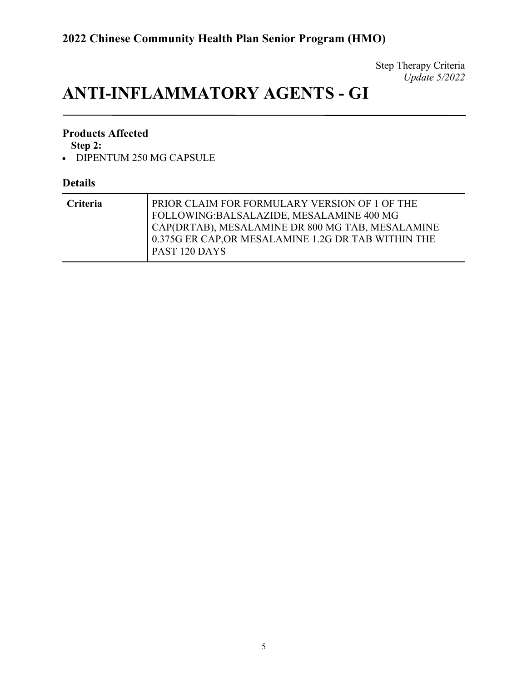# **ANTI-INFLAMMATORY AGENTS - GI**

### **Products Affected**

**Step 2:**

• DIPENTUM 250 MG CAPSULE

| <b>Criteria</b> | PRIOR CLAIM FOR FORMULARY VERSION OF 1 OF THE<br>FOLLOWING:BALSALAZIDE, MESALAMINE 400 MG<br>CAP(DRTAB), MESALAMINE DR 800 MG TAB, MESALAMINE |
|-----------------|-----------------------------------------------------------------------------------------------------------------------------------------------|
|                 | 0.375G ER CAP, OR MESALAMINE 1.2G DR TAB WITHIN THE<br>PAST 120 DAYS                                                                          |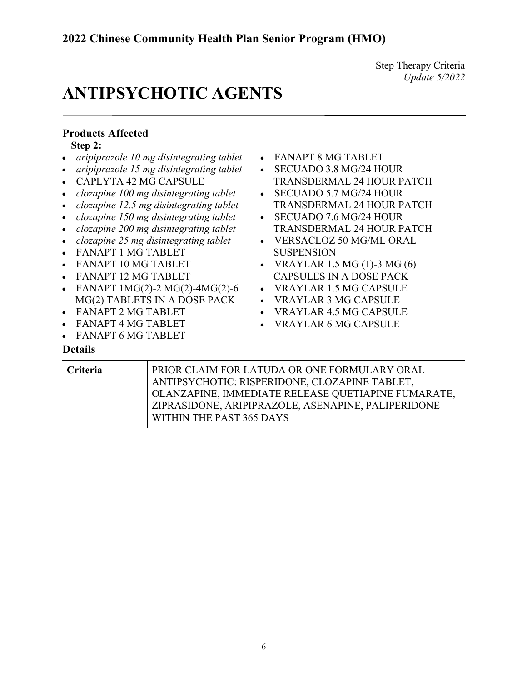## **ANTIPSYCHOTIC AGENTS**

### **Products Affected**

**Step 2:**

- *aripiprazole 10 mg disintegrating tablet*
- *aripiprazole 15 mg disintegrating tablet*
- CAPLYTA 42 MG CAPSULE
- *clozapine 100 mg disintegrating tablet*
- *clozapine 12.5 mg disintegrating tablet*
- *clozapine 150 mg disintegrating tablet*
- *clozapine 200 mg disintegrating tablet*
- *clozapine 25 mg disintegrating tablet*
- FANAPT 1 MG TABLET
- FANAPT 10 MG TABLET
- FANAPT 12 MG TABLET
- FANAPT 1MG(2)-2 MG(2)-4MG(2)-6 MG(2) TABLETS IN A DOSE PACK
- FANAPT 2 MG TABLET
- FANAPT 4 MG TABLET
- FANAPT 6 MG TABLET

- FANAPT 8 MG TABLET
- SECUADO 3.8 MG/24 HOUR TRANSDERMAL 24 HOUR PATCH
- SECUADO 5.7 MG/24 HOUR TRANSDERMAL 24 HOUR PATCH
- SECUADO 7.6 MG/24 HOUR TRANSDERMAL 24 HOUR PATCH
- VERSACLOZ 50 MG/ML ORAL **SUSPENSION**
- VRAYLAR 1.5 MG  $(1)$ -3 MG  $(6)$ CAPSULES IN A DOSE PACK
- VRAYLAR 1.5 MG CAPSULE
- VRAYLAR 3 MG CAPSULE
- VRAYLAR 4.5 MG CAPSULE
- VRAYLAR 6 MG CAPSULE

| Criteria | PRIOR CLAIM FOR LATUDA OR ONE FORMULARY ORAL<br>ANTIPSYCHOTIC: RISPERIDONE, CLOZAPINE TABLET, |
|----------|-----------------------------------------------------------------------------------------------|
|          | OLANZAPINE, IMMEDIATE RELEASE QUETIAPINE FUMARATE,                                            |
|          | ZIPRASIDONE, ARIPIPRAZOLE, ASENAPINE, PALIPERIDONE                                            |
|          | WITHIN THE PAST 365 DAYS                                                                      |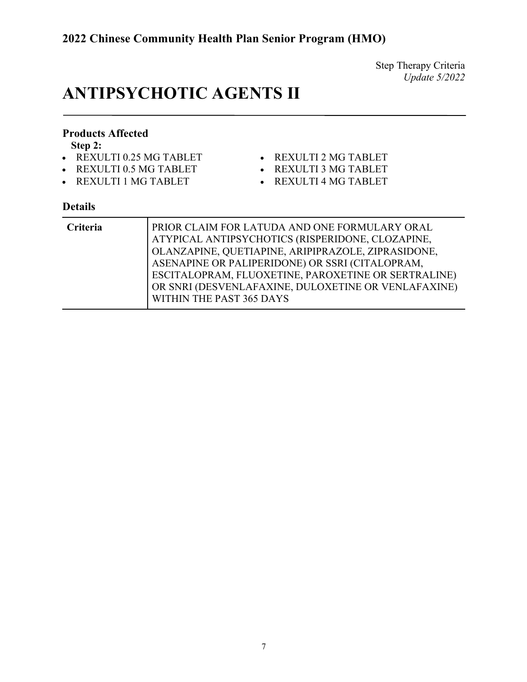## **ANTIPSYCHOTIC AGENTS II**

### **Products Affected**

**Step 2:**

- REXULTI 0.25 MG TABLET
- REXULTI 0.5 MG TABLET
- REXULTI 1 MG TABLET
- REXULTI 2 MG TABLET
- REXULTI 3 MG TABLET
- REXULTI 4 MG TABLET

| Criteria | PRIOR CLAIM FOR LATUDA AND ONE FORMULARY ORAL<br>ATYPICAL ANTIPSYCHOTICS (RISPERIDONE, CLOZAPINE,<br>OLANZAPINE, QUETIAPINE, ARIPIPRAZOLE, ZIPRASIDONE,<br>ASENAPINE OR PALIPERIDONE) OR SSRI (CITALOPRAM,<br>ESCITALOPRAM, FLUOXETINE, PAROXETINE OR SERTRALINE)<br>OR SNRI (DESVENLAFAXINE, DULOXETINE OR VENLAFAXINE)<br>WITHIN THE PAST 365 DAYS |
|----------|------------------------------------------------------------------------------------------------------------------------------------------------------------------------------------------------------------------------------------------------------------------------------------------------------------------------------------------------------|
|----------|------------------------------------------------------------------------------------------------------------------------------------------------------------------------------------------------------------------------------------------------------------------------------------------------------------------------------------------------------|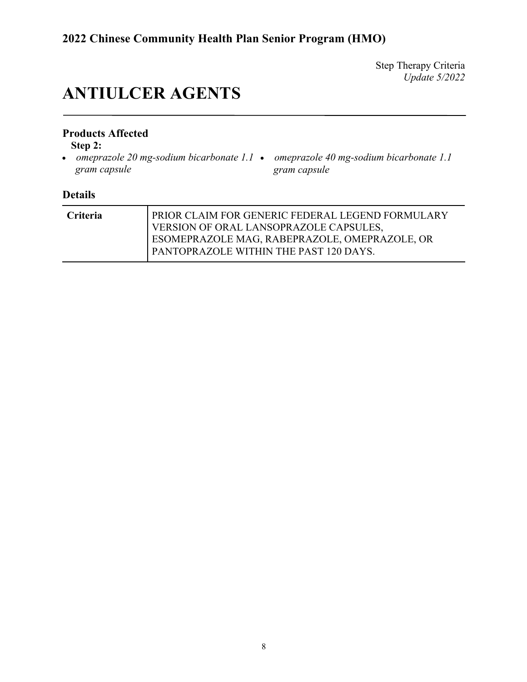## **ANTIULCER AGENTS**

### **Products Affected**

**Step 2:**

- *omeprazole 20 mg-sodium bicarbonate 1.1 omeprazole 40 mg-sodium bicarbonate 1.1 gram capsule*
- *gram capsule*

| <b>Criteria</b> | PRIOR CLAIM FOR GENERIC FEDERAL LEGEND FORMULARY |
|-----------------|--------------------------------------------------|
|                 |                                                  |
|                 | VERSION OF ORAL LANSOPRAZOLE CAPSULES,           |
|                 | ESOMEPRAZOLE MAG, RABEPRAZOLE, OMEPRAZOLE, OR    |
|                 | PANTOPRAZOLE WITHIN THE PAST 120 DAYS.           |
|                 |                                                  |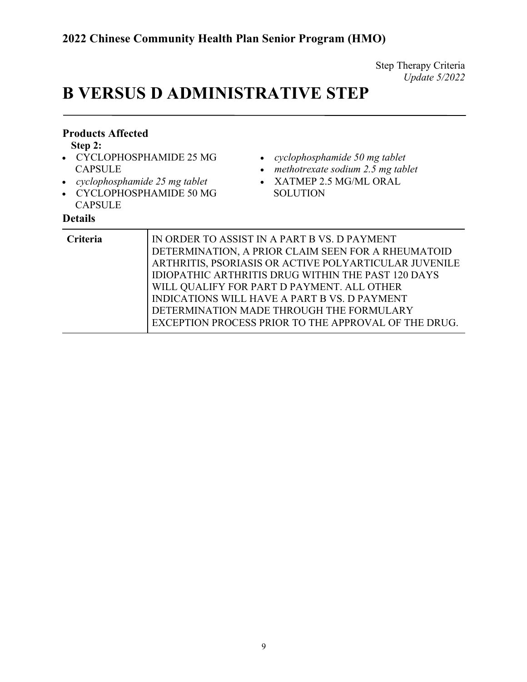# **B VERSUS D ADMINISTRATIVE STEP**

| <b>Products Affected</b><br>Step 2:<br>CYCLOPHOSPHAMIDE 25 MG<br><b>CAPSULE</b><br>cyclophosphamide 25 mg tablet<br>$\bullet$<br>• CYCLOPHOSPHAMIDE 50 MG<br><b>CAPSULE</b><br><b>Details</b> | cyclophosphamide 50 mg tablet<br>methotrexate sodium 2.5 mg tablet<br>XATMEP 2.5 MG/ML ORAL<br><b>SOLUTION</b>                                                                                                                                                                                                                                                                                                                    |
|-----------------------------------------------------------------------------------------------------------------------------------------------------------------------------------------------|-----------------------------------------------------------------------------------------------------------------------------------------------------------------------------------------------------------------------------------------------------------------------------------------------------------------------------------------------------------------------------------------------------------------------------------|
| Criteria                                                                                                                                                                                      | IN ORDER TO ASSIST IN A PART B VS. D PAYMENT<br>DETERMINATION, A PRIOR CLAIM SEEN FOR A RHEUMATOID<br>ARTHRITIS, PSORIASIS OR ACTIVE POLYARTICULAR JUVENILE<br><b>IDIOPATHIC ARTHRITIS DRUG WITHIN THE PAST 120 DAYS</b><br>WILL QUALIFY FOR PART D PAYMENT. ALL OTHER<br><b>INDICATIONS WILL HAVE A PART B VS. D PAYMENT</b><br>DETERMINATION MADE THROUGH THE FORMULARY<br>EXCEPTION PROCESS PRIOR TO THE APPROVAL OF THE DRUG. |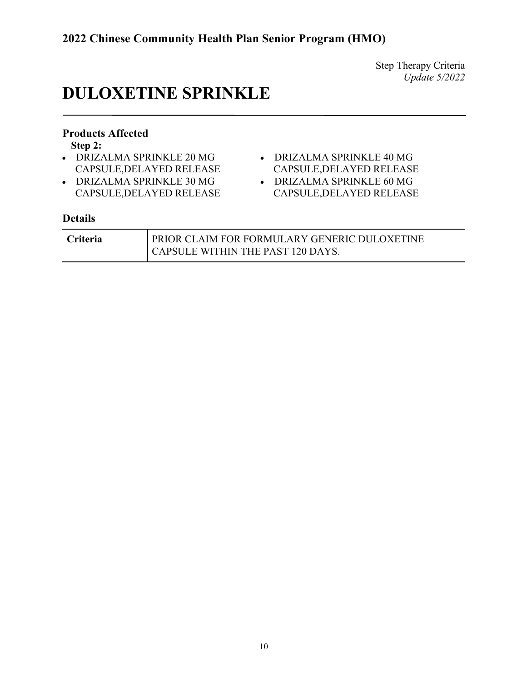## **DULOXETINE SPRINKLE**

### **Products Affected**

**Step 2:**

- DRIZALMA SPRINKLE 20 MG CAPSULE,DELAYED RELEASE
- DRIZALMA SPRINKLE 30 MG CAPSULE,DELAYED RELEASE
- DRIZALMA SPRINKLE 40 MG CAPSULE,DELAYED RELEASE
- DRIZALMA SPRINKLE 60 MG CAPSULE,DELAYED RELEASE

| <b>Criteria</b> | <b>PRIOR CLAIM FOR FORMULARY GENERIC DULOXETINE</b> |
|-----------------|-----------------------------------------------------|
|                 | CAPSULE WITHIN THE PAST 120 DAYS.                   |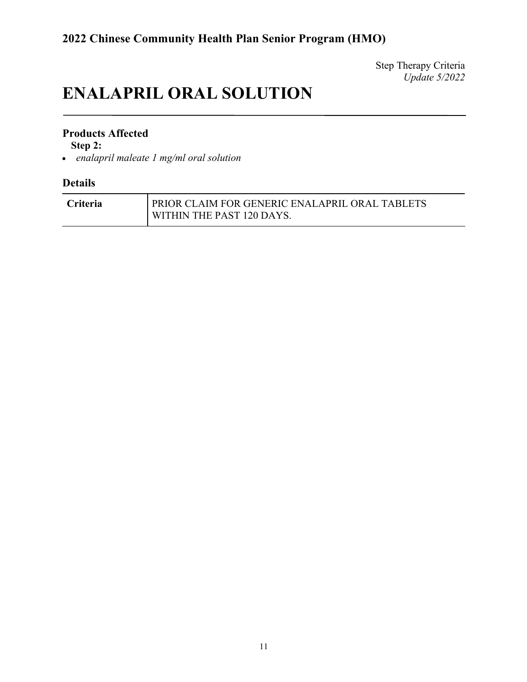## **ENALAPRIL ORAL SOLUTION**

### **Products Affected**

**Step 2:**

• *enalapril maleate 1 mg/ml oral solution*

| <b>Criteria</b> | <b>PRIOR CLAIM FOR GENERIC ENALAPRIL ORAL TABLETS</b> |
|-----------------|-------------------------------------------------------|
|                 | <b>WITHIN THE PAST 120 DAYS.</b>                      |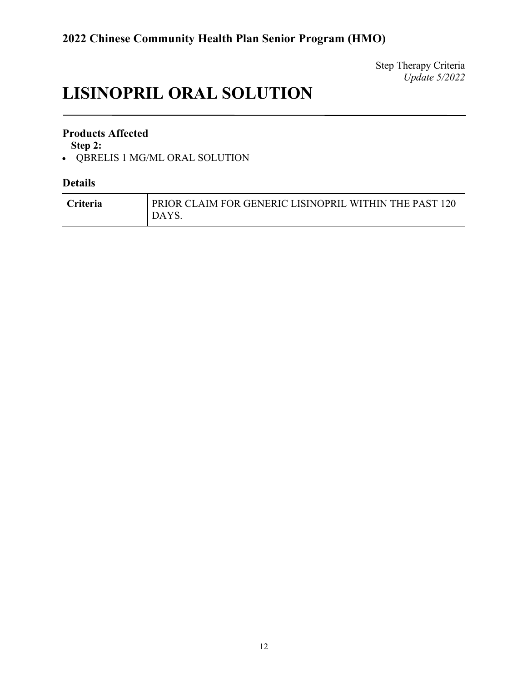# **LISINOPRIL ORAL SOLUTION**

### **Products Affected**

**Step 2:**

• QBRELIS 1 MG/ML ORAL SOLUTION

| <b>Criteria</b> | PRIOR CLAIM FOR GENERIC LISINOPRIL WITHIN THE PAST 120<br><b>DAYS.</b> |
|-----------------|------------------------------------------------------------------------|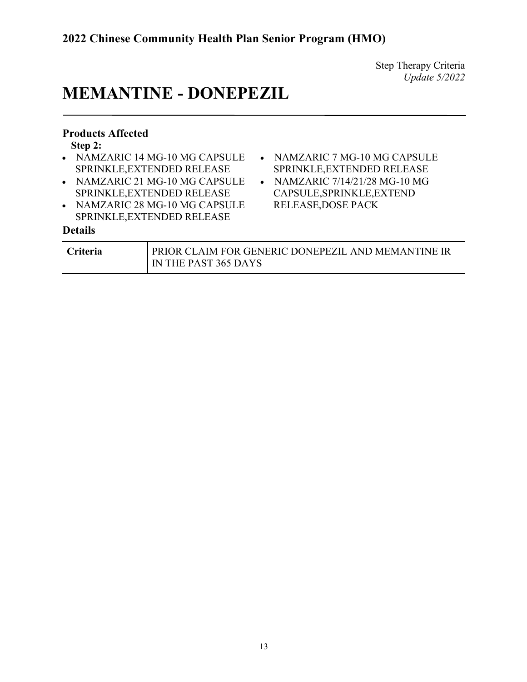• NAMZARIC 7 MG-10 MG CAPSULE SPRINKLE,EXTENDED RELEASE • NAMZARIC 7/14/21/28 MG-10 MG CAPSULE,SPRINKLE,EXTEND

RELEASE,DOSE PACK

### **MEMANTINE - DONEPEZIL**

### **Products Affected**

**Step 2:**

- NAMZARIC 14 MG-10 MG CAPSULE SPRINKLE,EXTENDED RELEASE
- NAMZARIC 21 MG-10 MG CAPSULE SPRINKLE,EXTENDED RELEASE
- NAMZARIC 28 MG-10 MG CAPSULE SPRINKLE,EXTENDED RELEASE

| <b>Criteria</b> | PRIOR CLAIM FOR GENERIC DONEPEZIL AND MEMANTINE IR |
|-----------------|----------------------------------------------------|
|                 | I IN THE PAST 365 DAYS                             |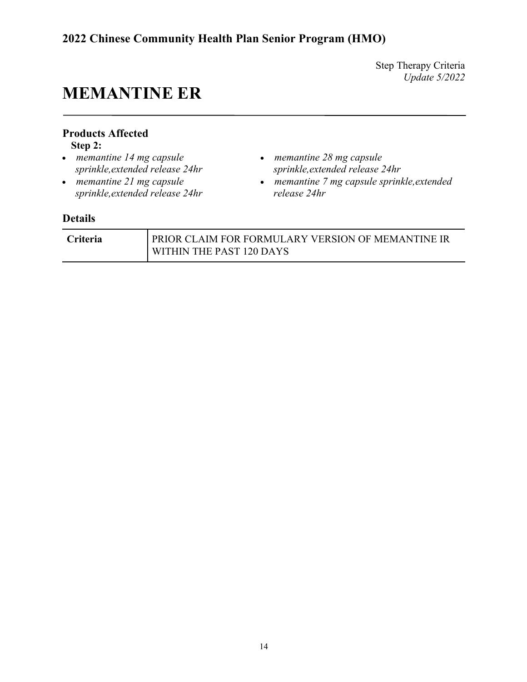### **2022 Chinese Community Health Plan Senior Program (HMO)**

Step Therapy Criteria *Update 5/2022*

## **MEMANTINE ER**

### **Products Affected**

**Step 2:**

- *memantine 14 mg capsule sprinkle,extended release 24hr*
- *memantine 21 mg capsule sprinkle,extended release 24hr*
- *memantine 28 mg capsule sprinkle,extended release 24hr*
- *memantine 7 mg capsule sprinkle,extended release 24hr*

| <b>Criteria</b> | PRIOR CLAIM FOR FORMULARY VERSION OF MEMANTINE IR |
|-----------------|---------------------------------------------------|
|                 | WITHIN THE PAST 120 DAYS                          |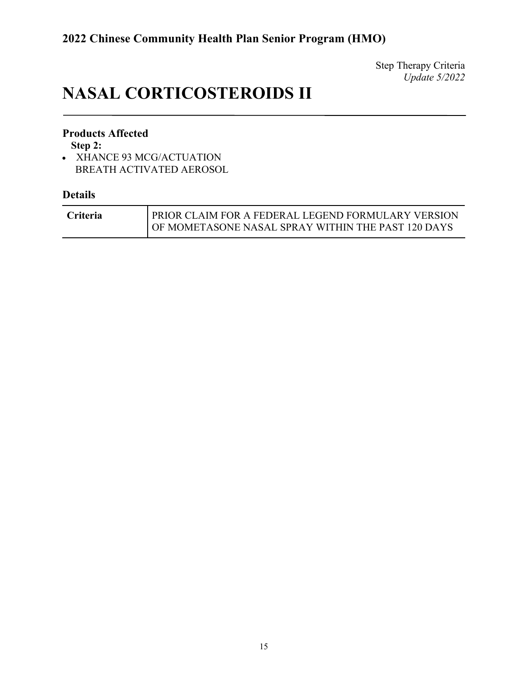# **NASAL CORTICOSTEROIDS II**

### **Products Affected**

**Step 2:**

• XHANCE 93 MCG/ACTUATION BREATH ACTIVATED AEROSOL

| <b>Criteria</b> | PRIOR CLAIM FOR A FEDERAL LEGEND FORMULARY VERSION |
|-----------------|----------------------------------------------------|
|                 | OF MOMETASONE NASAL SPRAY WITHIN THE PAST 120 DAYS |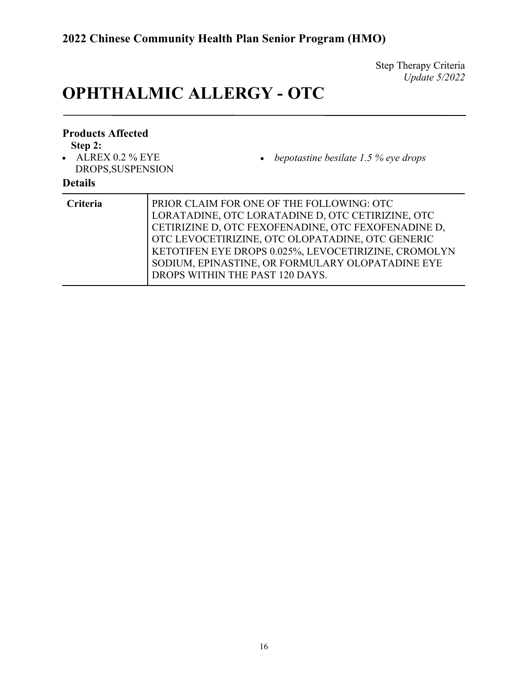# **OPHTHALMIC ALLERGY - OTC**

| <b>Products Affected</b><br>Step 2:<br>$\bullet$ ALREX 0.2 % EYE<br>DROPS, SUSPENSION<br><b>Details</b> | • bepotastine besilate 1.5 % eye drops                                                                                                                                                                                                                                                                                                                   |
|---------------------------------------------------------------------------------------------------------|----------------------------------------------------------------------------------------------------------------------------------------------------------------------------------------------------------------------------------------------------------------------------------------------------------------------------------------------------------|
| Criteria                                                                                                | PRIOR CLAIM FOR ONE OF THE FOLLOWING: OTC<br>LORATADINE, OTC LORATADINE D, OTC CETIRIZINE, OTC<br>CETIRIZINE D, OTC FEXOFENADINE, OTC FEXOFENADINE D,<br>OTC LEVOCETIRIZINE, OTC OLOPATADINE, OTC GENERIC<br>KETOTIFEN EYE DROPS 0.025%, LEVOCETIRIZINE, CROMOLYN<br>SODIUM, EPINASTINE, OR FORMULARY OLOPATADINE EYE<br>DROPS WITHIN THE PAST 120 DAYS. |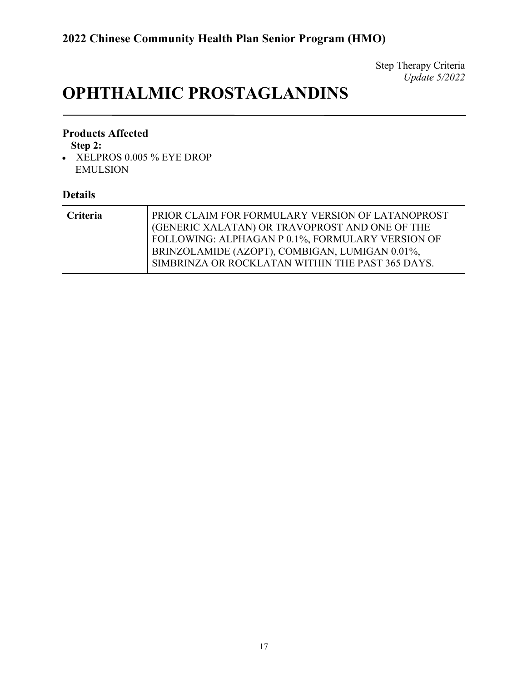# **OPHTHALMIC PROSTAGLANDINS**

### **Products Affected**

**Step 2:**

• XELPROS 0.005 % EYE DROP EMULSION

| <b>Criteria</b> | PRIOR CLAIM FOR FORMULARY VERSION OF LATANOPROST<br>GENERIC XALATAN) OR TRAVOPROST AND ONE OF THE<br>FOLLOWING: ALPHAGAN P 0.1%, FORMULARY VERSION OF<br>BRINZOLAMIDE (AZOPT), COMBIGAN, LUMIGAN 0.01%, |
|-----------------|---------------------------------------------------------------------------------------------------------------------------------------------------------------------------------------------------------|
|                 | SIMBRINZA OR ROCKLATAN WITHIN THE PAST 365 DAYS.                                                                                                                                                        |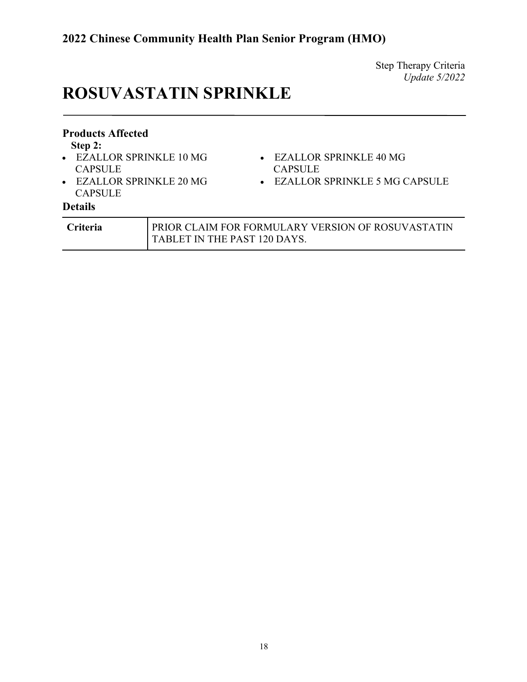# **ROSUVASTATIN SPRINKLE**

| <b>Products Affected</b><br>Step 2:<br>• EZALLOR SPRINKLE 10 MG<br><b>CAPSULE</b><br>• EZALLOR SPRINKLE 20 MG<br><b>CAPSULE</b> |                              | $\bullet$ EZALLOR SPRINKLE 40 MG<br><b>CAPSULE</b><br>• EZALLOR SPRINKLE 5 MG CAPSULE |
|---------------------------------------------------------------------------------------------------------------------------------|------------------------------|---------------------------------------------------------------------------------------|
| <b>Details</b>                                                                                                                  |                              |                                                                                       |
| <b>Criteria</b>                                                                                                                 | TABLET IN THE PAST 120 DAYS. | PRIOR CLAIM FOR FORMULARY VERSION OF ROSUVASTATIN                                     |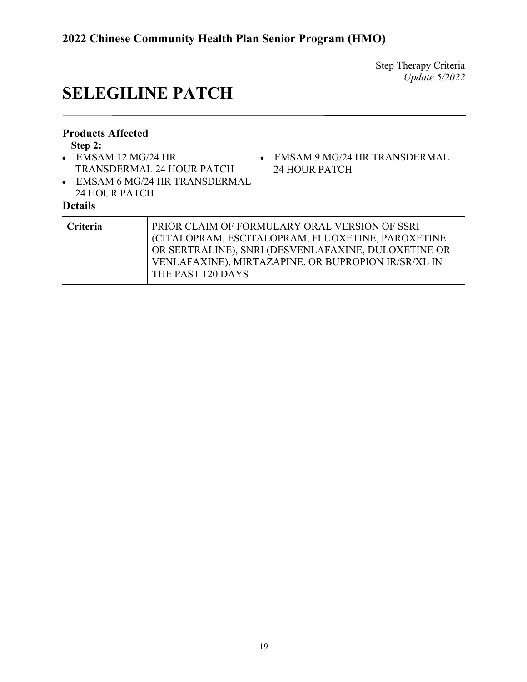## **SELEGILINE PATCH**

### **Products Affected**

**Step 2:**

- EMSAM 12 MG/24 HR TRANSDERMAL 24 HOUR PATCH
- EMSAM 6 MG/24 HR TRANSDERMAL 24 HOUR PATCH

### • EMSAM 9 MG/24 HR TRANSDERMAL 24 HOUR PATCH

| PRIOR CLAIM OF FORMULARY ORAL VERSION OF SSRI<br>CITALOPRAM, ESCITALOPRAM, FLUOXETINE, PAROXETINE<br>OR SERTRALINE), SNRI (DESVENLAFAXINE, DULOXETINE OR<br>VENLAFAXINE), MIRTAZAPINE, OR BUPROPION IR/SR/XL IN |
|-----------------------------------------------------------------------------------------------------------------------------------------------------------------------------------------------------------------|
| THE PAST 120 DAYS                                                                                                                                                                                               |
|                                                                                                                                                                                                                 |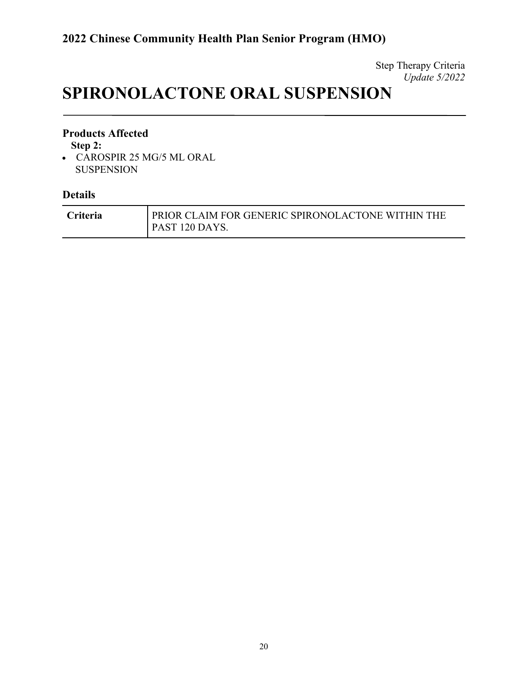## **SPIRONOLACTONE ORAL SUSPENSION**

### **Products Affected**

**Step 2:**

• CAROSPIR 25 MG/5 ML ORAL SUSPENSION

| <b>Criteria</b> | PRIOR CLAIM FOR GENERIC SPIRONOLACTONE WITHIN THE |
|-----------------|---------------------------------------------------|
|                 | PAST 120 DAYS.                                    |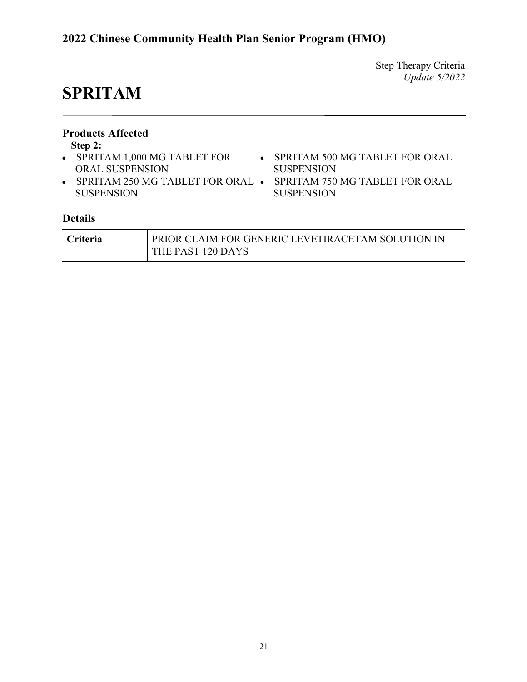### **2022 Chinese Community Health Plan Senior Program (HMO)**

Step Therapy Criteria *Update 5/2022*

## **SPRITAM**

| <b>Products Affected</b><br>Step 2:<br>• SPRITAM 1,000 MG TABLET FOR<br><b>ORAL SUSPENSION</b><br><b>SUSPENSION</b> |  | • SPRITAM 500 MG TABLET FOR ORAL<br><b>SUSPENSION</b><br>SPRITAM 250 MG TABLET FOR ORAL • SPRITAM 750 MG TABLET FOR ORAL<br><b>SUSPENSION</b> |
|---------------------------------------------------------------------------------------------------------------------|--|-----------------------------------------------------------------------------------------------------------------------------------------------|
| <b>Details</b>                                                                                                      |  |                                                                                                                                               |
| $\Gamma$ $\mathbf{u}$ $\mathbf{t}$ $\mathbf{t}$ $\mathbf{t}$                                                        |  | DIOD CLAIM EOD CENEDIC I EVETID ACETAM COLUTION IN                                                                                            |

| <b>Criteria</b> | l prior claim for generic levetiracetam solution in I |
|-----------------|-------------------------------------------------------|
|                 | THE PAST 120 DAYS                                     |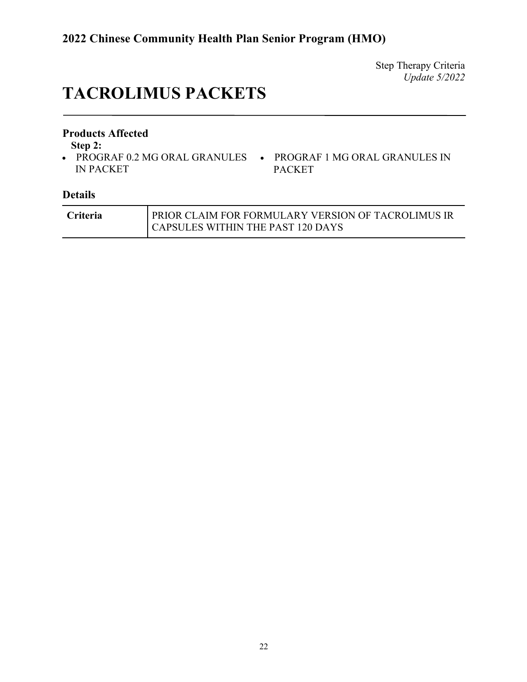## **TACROLIMUS PACKETS**

### **Products Affected**

**Step 2:**

- PROGRAF 0.2 MG ORAL GRANULES PROGRAF 1 MG ORAL GRANULES IN IN PACKET
- PACKET

| <b>Criteria</b> | PRIOR CLAIM FOR FORMULARY VERSION OF TACROLIMUS IR |
|-----------------|----------------------------------------------------|
|                 | CAPSULES WITHIN THE PAST 120 DAYS                  |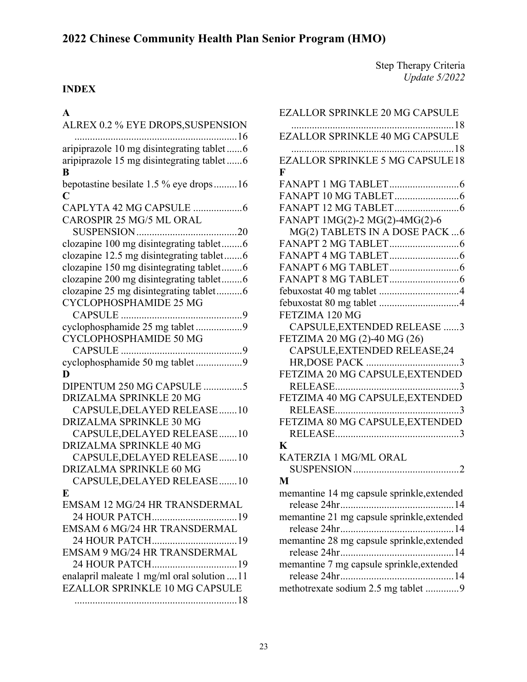### **INDEX**

### **A**

| $\blacktriangle$                                |
|-------------------------------------------------|
| ALREX 0.2 % EYE DROPS, SUSPENSION               |
|                                                 |
| aripiprazole 10 mg disintegrating tablet 6      |
| aripiprazole 15 mg disintegrating tablet 6<br>B |
| bepotastine besilate 1.5 % eye drops16          |
| C                                               |
|                                                 |
| CAROSPIR 25 MG/5 ML ORAL                        |
|                                                 |
| clozapine 100 mg disintegrating tablet6         |
| clozapine 12.5 mg disintegrating tablet6        |
| clozapine 150 mg disintegrating tablet6         |
| clozapine 200 mg disintegrating tablet6         |
| clozapine 25 mg disintegrating tablet6          |
| CYCLOPHOSPHAMIDE 25 MG                          |
|                                                 |
| cyclophosphamide 25 mg tablet 9                 |
| CYCLOPHOSPHAMIDE 50 MG                          |
|                                                 |
| cyclophosphamide 50 mg tablet 9                 |
| D                                               |
| DIPENTUM 250 MG CAPSULE 5                       |
| DRIZALMA SPRINKLE 20 MG                         |
| CAPSULE, DELAYED RELEASE  10                    |
| DRIZALMA SPRINKLE 30 MG                         |
| CAPSULE, DELAYED RELEASE  10                    |
| DRIZALMA SPRINKLE 40 MG                         |
| CAPSULE, DELAYED RELEASE 10                     |
| <b>DRIZALMA SPRINKLE 60 MG</b>                  |
| CAPSULE, DELAYED RELEASE 10                     |
| E                                               |
| EMSAM 12 MG/24 HR TRANSDERMAL                   |
| 24 HOUR PATCH19                                 |
| <b>EMSAM 6 MG/24 HR TRANSDERMAL</b>             |
| 24 HOUR PATCH<br>19                             |
| EMSAM 9 MG/24 HR TRANSDERMAL                    |
| 24 HOUR PATCH19                                 |
| enalapril maleate 1 mg/ml oral solution  11     |
| <b>EZALLOR SPRINKLE 10 MG CAPSULE</b>           |
|                                                 |

| EZALLOR SPRINKLE 20 MG CAPSULE             |
|--------------------------------------------|
|                                            |
| <b>EZALLOR SPRINKLE 40 MG CAPSULE</b>      |
|                                            |
| <b>EZALLOR SPRINKLE 5 MG CAPSULE18</b>     |
| F                                          |
|                                            |
|                                            |
|                                            |
| FANAPT 1MG(2)-2 MG(2)-4MG(2)-6             |
| MG(2) TABLETS IN A DOSE PACK  6            |
|                                            |
|                                            |
|                                            |
|                                            |
|                                            |
|                                            |
| FETZIMA 120 MG                             |
| CAPSULE, EXTENDED RELEASE 3                |
| FETZIMA 20 MG (2)-40 MG (26)               |
| CAPSULE, EXTENDED RELEASE, 24              |
|                                            |
| FETZIMA 20 MG CAPSULE, EXTENDED            |
|                                            |
| FETZIMA 40 MG CAPSULE, EXTENDED            |
|                                            |
| FETZIMA 80 MG CAPSULE, EXTENDED            |
|                                            |
| K                                          |
| KATERZIA 1 MG/ML ORAL                      |
|                                            |
| M                                          |
| memantine 14 mg capsule sprinkle, extended |
|                                            |
| memantine 21 mg capsule sprinkle, extended |
|                                            |
| memantine 28 mg capsule sprinkle, extended |
|                                            |
| memantine 7 mg capsule sprinkle, extended  |
|                                            |
| methotrexate sodium 2.5 mg tablet 9        |
|                                            |